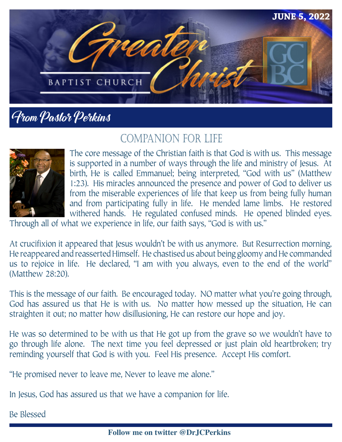

## From Pastor Perkins

### COMPANION FOR LIFE



The core message of the Christian faith is that God is with us. This message is supported in a number of ways through the life and ministry of Jesus. At birth, He is called Emmanuel; being interpreted, "God with us" (Matthew 1:23). His miracles announced the presence and power of God to deliver us from the miserable experiences of life that keep us from being fully human and from participating fully in life. He mended lame limbs. He restored withered hands. He regulated confused minds. He opened blinded eyes.

Through all of what we experience in life, our faith says, "God is with us."

At crucifixion it appeared that Jesus wouldn't be with us anymore. But Resurrection morning, He reappeared and reasserted Himself. He chastised us about being gloomy and He commanded us to rejoice in life. He declared, "I am with you always, even to the end of the world" (Matthew 28:20).

This is the message of our faith. Be encouraged today. NO matter what you're going through, God has assured us that He is with us. No matter how messed up the situation, He can straighten it out; no matter how disillusioning, He can restore our hope and joy.

He was so determined to be with us that He got up from the grave so we wouldn't have to go through life alone. The next time you feel depressed or just plain old heartbroken; try reminding yourself that God is with you. Feel His presence. Accept His comfort.

"He promised never to leave me, Never to leave me alone."

In Jesus, God has assured us that we have a companion for life.

Be Blessed